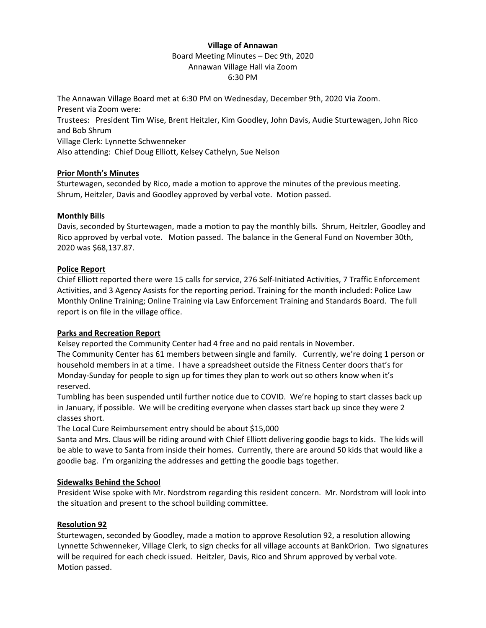# **Village of Annawan**

# Board Meeting Minutes – Dec 9th, 2020 Annawan Village Hall via Zoom 6:30 PM

The Annawan Village Board met at 6:30 PM on Wednesday, December 9th, 2020 Via Zoom. Present via Zoom were: Trustees: President Tim Wise, Brent Heitzler, Kim Goodley, John Davis, Audie Sturtewagen, John Rico and Bob Shrum Village Clerk: Lynnette Schwenneker Also attending: Chief Doug Elliott, Kelsey Cathelyn, Sue Nelson

# **Prior Month's Minutes**

Sturtewagen, seconded by Rico, made a motion to approve the minutes of the previous meeting. Shrum, Heitzler, Davis and Goodley approved by verbal vote. Motion passed.

# **Monthly Bills**

Davis, seconded by Sturtewagen, made a motion to pay the monthly bills. Shrum, Heitzler, Goodley and Rico approved by verbal vote. Motion passed. The balance in the General Fund on November 30th, 2020 was \$68,137.87.

# **Police Report**

Chief Elliott reported there were 15 calls for service, 276 Self-Initiated Activities, 7 Traffic Enforcement Activities, and 3 Agency Assists for the reporting period. Training for the month included: Police Law Monthly Online Training; Online Training via Law Enforcement Training and Standards Board. The full report is on file in the village office.

# **Parks and Recreation Report**

Kelsey reported the Community Center had 4 free and no paid rentals in November.

The Community Center has 61 members between single and family. Currently, we're doing 1 person or household members in at a time. I have a spreadsheet outside the Fitness Center doors that's for Monday-Sunday for people to sign up for times they plan to work out so others know when it's reserved.

Tumbling has been suspended until further notice due to COVID. We're hoping to start classes back up in January, if possible. We will be crediting everyone when classes start back up since they were 2 classes short.

The Local Cure Reimbursement entry should be about \$15,000

Santa and Mrs. Claus will be riding around with Chief Elliott delivering goodie bags to kids. The kids will be able to wave to Santa from inside their homes. Currently, there are around 50 kids that would like a goodie bag. I'm organizing the addresses and getting the goodie bags together.

# **Sidewalks Behind the School**

President Wise spoke with Mr. Nordstrom regarding this resident concern. Mr. Nordstrom will look into the situation and present to the school building committee.

# **Resolution 92**

Sturtewagen, seconded by Goodley, made a motion to approve Resolution 92, a resolution allowing Lynnette Schwenneker, Village Clerk, to sign checks for all village accounts at BankOrion. Two signatures will be required for each check issued. Heitzler, Davis, Rico and Shrum approved by verbal vote. Motion passed.